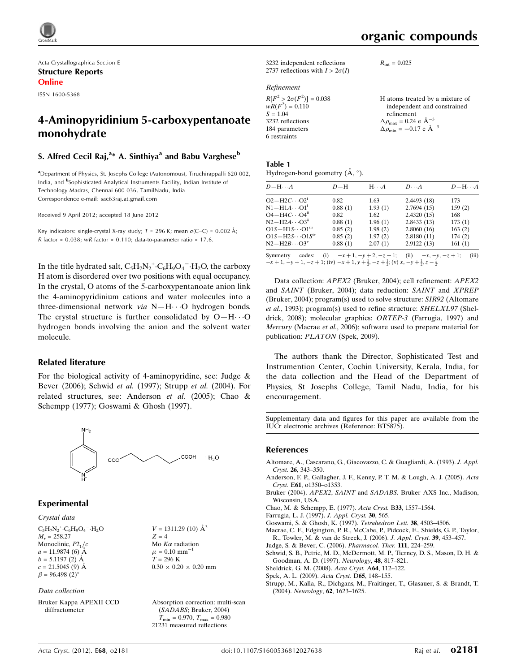

Acta Crystallographica Section E Structure Reports Online

ISSN 1600-5368

# 4-Aminopyridinium 5-carboxypentanoate monohydrate

### S. Alfred Cecil Raj,<sup>a</sup>\* A. Sinthiya<sup>a</sup> and Babu Varghese<sup>b</sup>

<sup>a</sup>Department of Physics, St. Josephs College (Autonomous), Tiruchirappalli 620 002, India, and <sup>b</sup>Sophisticated Analytical Instruments Facility, Indian Institute of Technology Madras, Chennai 600 036, TamilNadu, India Correspondence e-mail: [sac63raj.at.gmail.com](http://scripts.iucr.org/cgi-bin/cr.cgi?rm=pdfbb&cnor=bt5875&bbid=BB12)

Received 9 April 2012; accepted 18 June 2012

Key indicators: single-crystal X-ray study;  $T = 296$  K; mean  $\sigma$ (C–C) = 0.002 Å; R factor =  $0.038$ ; wR factor =  $0.110$ ; data-to-parameter ratio =  $17.6$ .

In the title hydrated salt,  $C_5H_7N_2^+ \cdot C_6H_9O_4^- \cdot H_2O$ , the carboxy H atom is disordered over two positions with equal occupancy. In the crystal, O atoms of the 5-carboxypentanoate anion link the 4-aminopyridinium cations and water molecules into a three-dimensional network via N-H··· O hydrogen bonds. The crystal structure is further consolidated by  $O-H \cdots O$ hydrogen bonds involving the anion and the solvent water molecule.

#### Related literature

For the biological activity of 4-aminopyridine, see: Judge & Bever (2006); Schwid et al. (1997); Strupp et al. (2004). For related structures, see: Anderson et al. (2005); Chao & Schempp (1977); Goswami & Ghosh (1997).



### Experimental

Crystal data  $C_5H_7N_2^+ \cdot C_6H_9O_4^- \cdot H_2O$  $M<sub>r</sub> = 258.27$ Monoclinic,  $P2<sub>1</sub>/c$  $a = 11.9874(6)$  Å  $b = 5.1197$  (2)  $\AA$ 

 $c = 21.5045(9)$  Å  $\beta = 96.498$  (2)<sup>o</sup>

Data collection

Bruker Kappa APEXII CCD diffractometer

 $V = 1311.29$  (10)  $\AA^3$  $Z = 4$ Mo  $K\alpha$  radiation  $\mu = 0.10$  mm<sup>-1</sup>  $T = 296$  K  $0.30 \times 0.20 \times 0.20$  mm

Absorption correction: multi-scan (SADABS; Bruker, 2004)  $T_{\text{min}} = 0.970, T_{\text{max}} = 0.980$ 21231 measured reflections

organic compounds

 $R_{\text{int}} = 0.025$ 

3232 independent reflections 2737 reflections with  $I > 2\sigma(I)$ 

Refinement

 $R[F^2 > 2\sigma(F^2)] = 0.038$ <br>  $wR(F^2) = 0.110$  $S = 1.04$ 3232 reflections 184 parameters 6 restraints H atoms treated by a mixture of independent and constrained refinement  $\Delta \rho_{\text{max}} = 0.24 \text{ e } \text{\AA}_{\text{s}}^{-3}$  $\Delta \rho_{\text{min}} = -0.17$  e  $\rm{\AA}^{-3}$ 

# Table 1

Hydrogen-bond geometry  $(\mathring{A}, \degree)$ .

| $D - H \cdots A$      | $D-H$   | $H \cdot \cdot \cdot A$ | $D\cdots A$ | $D - H \cdots A$ |
|-----------------------|---------|-------------------------|-------------|------------------|
| $O2-H2C\cdots O2^i$   | 0.82    | 1.63                    | 2.4493 (18) | 173              |
| $N1 - H1A \cdots 01$  | 0.88(1) | 1.93(1)                 | 2.7694(15)  | 159(2)           |
| $O4-H4C\cdots O4ii$   | 0.82    | 1.62                    | 2.4320(15)  | 168              |
| $N2-H2A\cdots O3ii$   | 0.88(1) | 1.96(1)                 | 2.8433(13)  | 173(1)           |
| $O1S-H1S\cdots O1m$   | 0.85(2) | 1.98(2)                 | 2.8060(16)  | 163(2)           |
| $O1S-H2S\cdots O1Siv$ | 0.85(2) | 1.97(2)                 | 2.8180(11)  | 174(2)           |
| $N2-H2B\cdots O3^{V}$ | 0.88(1) | 2.07(1)                 | 2.9122(13)  | 161(1)           |
|                       |         |                         |             |                  |

Symmetry codes: (i)  $-x + 1$ ,  $-y + 2$ ,  $-z + 1$ ; (ii)  $-x$ ,  $-y$ ,  $-z + 1$ ; (iii)  $-x+1, -y+1, -z+1$ ; (iv)  $-x+1, y+\frac{1}{2}, -z+\frac{1}{2}$ ; (v)  $x, -y+\frac{1}{2}, z-\frac{1}{2}$ .

Data collection: APEX2 (Bruker, 2004); cell refinement: APEX2 and SAINT (Bruker, 2004); data reduction: SAINT and XPREP (Bruker, 2004); program(s) used to solve structure: SIR92 (Altomare et al., 1993); program(s) used to refine structure: SHELXL97 (Sheldrick, 2008); molecular graphics: ORTEP-3 (Farrugia, 1997) and Mercury (Macrae et al., 2006); software used to prepare material for publication: PLATON (Spek, 2009).

The authors thank the Director, Sophisticated Test and Instrumention Center, Cochin University, Kerala, India, for the data collection and the Head of the Department of Physics, St Josephs College, Tamil Nadu, India, for his encouragement.

Supplementary data and figures for this paper are available from the IUCr electronic archives (Reference: BT5875).

#### References

- [Altomare, A., Cascarano, G., Giacovazzo, C. & Guagliardi, A. \(1993\).](http://scripts.iucr.org/cgi-bin/cr.cgi?rm=pdfbb&cnor=bt5875&bbid=BB1) J. Appl. Cryst. 26[, 343–350.](http://scripts.iucr.org/cgi-bin/cr.cgi?rm=pdfbb&cnor=bt5875&bbid=BB1)
- [Anderson, F. P., Gallagher, J. F., Kenny, P. T. M. & Lough, A. J. \(2005\).](http://scripts.iucr.org/cgi-bin/cr.cgi?rm=pdfbb&cnor=bt5875&bbid=BB2) Acta Cryst. E61[, o1350–o1353.](http://scripts.iucr.org/cgi-bin/cr.cgi?rm=pdfbb&cnor=bt5875&bbid=BB2)
- Bruker (2004). APEX2, SAINT and SADABS[. Bruker AXS Inc., Madison,](http://scripts.iucr.org/cgi-bin/cr.cgi?rm=pdfbb&cnor=bt5875&bbid=BB3) [Wisconsin, USA.](http://scripts.iucr.org/cgi-bin/cr.cgi?rm=pdfbb&cnor=bt5875&bbid=BB3)
- [Chao, M. & Schempp, E. \(1977\).](http://scripts.iucr.org/cgi-bin/cr.cgi?rm=pdfbb&cnor=bt5875&bbid=BB5) Acta Cryst. B33, 1557–1564.
- [Farrugia, L. J. \(1997\).](http://scripts.iucr.org/cgi-bin/cr.cgi?rm=pdfbb&cnor=bt5875&bbid=BB6) J. Appl. Cryst. 30, 565.
- [Goswami, S. & Ghosh, K. \(1997\).](http://scripts.iucr.org/cgi-bin/cr.cgi?rm=pdfbb&cnor=bt5875&bbid=BB7) Tetrahedron Lett. 38, 4503–4506.
- [Macrae, C. F., Edgington, P. R., McCabe, P., Pidcock, E., Shields, G. P., Taylor,](http://scripts.iucr.org/cgi-bin/cr.cgi?rm=pdfbb&cnor=bt5875&bbid=BB4) [R., Towler, M. & van de Streek, J. \(2006\).](http://scripts.iucr.org/cgi-bin/cr.cgi?rm=pdfbb&cnor=bt5875&bbid=BB4) J. Appl. Cryst. 39, 453–457.
- [Judge, S. & Bever, C. \(2006\).](http://scripts.iucr.org/cgi-bin/cr.cgi?rm=pdfbb&cnor=bt5875&bbid=BB8) Pharmacol. Ther. 111, 224–259.

[Schwid, S. B., Petrie, M. D., McDermott, M. P., Tierney, D. S., Mason, D. H. &](http://scripts.iucr.org/cgi-bin/cr.cgi?rm=pdfbb&cnor=bt5875&bbid=BB9) [Goodman, A. D. \(1997\).](http://scripts.iucr.org/cgi-bin/cr.cgi?rm=pdfbb&cnor=bt5875&bbid=BB9) Neurology, 48, 817–821.

- [Sheldrick, G. M. \(2008\).](http://scripts.iucr.org/cgi-bin/cr.cgi?rm=pdfbb&cnor=bt5875&bbid=BB10) Acta Cryst. A64, 112–122.
- [Spek, A. L. \(2009\).](http://scripts.iucr.org/cgi-bin/cr.cgi?rm=pdfbb&cnor=bt5875&bbid=BB11) Acta Cryst. D65, 148–155.

[Strupp, M., Kalla, R., Dichgans, M., Fraitinger, T., Glasauer, S. & Brandt, T.](http://scripts.iucr.org/cgi-bin/cr.cgi?rm=pdfbb&cnor=bt5875&bbid=BB12) (2004). Neurology, 62[, 1623–1625.](http://scripts.iucr.org/cgi-bin/cr.cgi?rm=pdfbb&cnor=bt5875&bbid=BB12)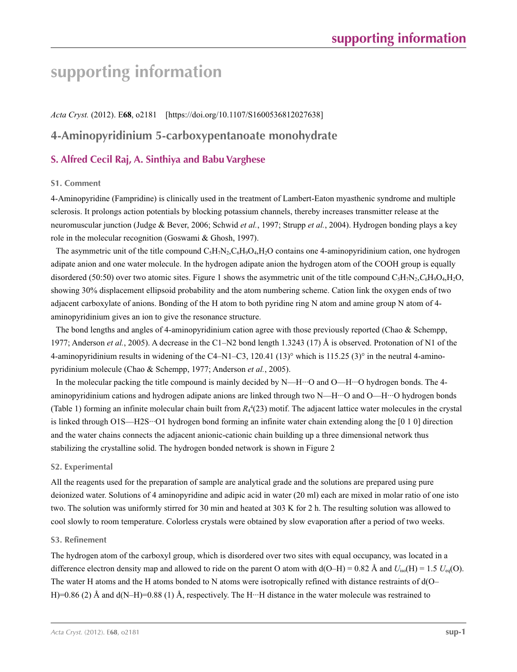# **supporting information**

### *Acta Cryst.* (2012). E**68**, o2181 [https://doi.org/10.1107/S1600536812027638]

# **4-Aminopyridinium 5-carboxypentanoate monohydrate**

# **S. Alfred Cecil Raj, A. Sinthiya and Babu Varghese**

### **S1. Comment**

4-Aminopyridine (Fampridine) is clinically used in the treatment of Lambert-Eaton myasthenic syndrome and multiple sclerosis. It prolongs action potentials by blocking potassium channels, thereby increases transmitter release at the neuromuscular junction (Judge & Bever, 2006; Schwid *et al.*, 1997; Strupp *et al.*, 2004). Hydrogen bonding plays a key role in the molecular recognition (Goswami & Ghosh, 1997).

The asymmetric unit of the title compound  $C_5H_7N_2$ ,  $C_6H_9O_4$ ,  $H_2O$  contains one 4-aminopyridinium cation, one hydrogen adipate anion and one water molecule. In the hydrogen adipate anion the hydrogen atom of the COOH group is equally disordered (50:50) over two atomic sites. Figure 1 shows the asymmetric unit of the title compound  $C_5H_7N_2$ ,  $C_6H_9O_4$ ,  $H_2O$ , showing 30% displacement ellipsoid probability and the atom numbering scheme. Cation link the oxygen ends of two adjacent carboxylate of anions. Bonding of the H atom to both pyridine ring N atom and amine group N atom of 4 aminopyridinium gives an ion to give the resonance structure.

The bond lengths and angles of 4-aminopyridinium cation agree with those previously reported (Chao & Schempp, 1977; Anderson *et al.*, 2005). A decrease in the C1–N2 bond length 1.3243 (17) Å is observed. Protonation of N1 of the 4-aminopyridinium results in widening of the C4–N1–C3, 120.41 (13)° which is 115.25 (3)° in the neutral 4-aminopyridinium molecule (Chao & Schempp, 1977; Anderson *et al.*, 2005).

In the molecular packing the title compound is mainly decided by N—H…O and O—H…O hydrogen bonds. The 4aminopyridinium cations and hydrogen adipate anions are linked through two N—H···O and O—H···O hydrogen bonds (Table 1) forming an infinite molecular chain built from  $R_4$ <sup>4</sup>(23) motif. The adjacent lattice water molecules in the crystal is linked through O1S—H2S···O1 hydrogen bond forming an infinite water chain extending along the [0 1 0] direction and the water chains connects the adjacent anionic-cationic chain building up a three dimensional network thus stabilizing the crystalline solid. The hydrogen bonded network is shown in Figure 2

### **S2. Experimental**

All the reagents used for the preparation of sample are analytical grade and the solutions are prepared using pure deionized water. Solutions of 4 aminopyridine and adipic acid in water (20 ml) each are mixed in molar ratio of one isto two. The solution was uniformly stirred for 30 min and heated at 303 K for 2 h. The resulting solution was allowed to cool slowly to room temperature. Colorless crystals were obtained by slow evaporation after a period of two weeks.

### **S3. Refinement**

The hydrogen atom of the carboxyl group, which is disordered over two sites with equal occupancy, was located in a difference electron density map and allowed to ride on the parent O atom with  $d(O-H) = 0.82$  Å and  $U_{iso}(H) = 1.5$   $U_{eq}(O)$ . The water H atoms and the H atoms bonded to N atoms were isotropically refined with distance restraints of d(O– H)=0.86 (2) Å and  $d(N-H)=0.88$  (1) Å, respectively. The H $\cdot\cdot$ -H distance in the water molecule was restrained to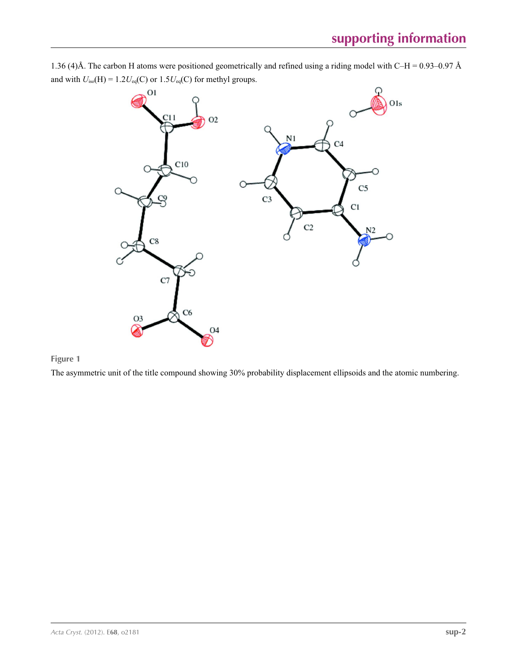

1.36 (4)Å. The carbon H atoms were positioned geometrically and refined using a riding model with C–H = 0.93–0.97 Å and with  $U_{iso}(H) = 1.2U_{eq}(C)$  or  $1.5U_{eq}(C)$  for methyl groups.

## **Figure 1**

The asymmetric unit of the title compound showing 30% probability displacement ellipsoids and the atomic numbering.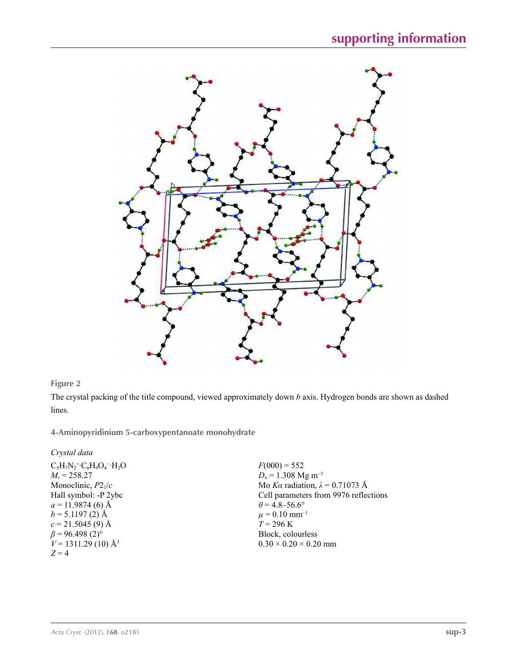

### **Figure 2**

The crystal packing of the title compound, viewed approximately down *b* axis. Hydrogen bonds are shown as dashed lines.

**4-Aminopyridinium 5-carboxypentanoate monohydrate** 

*Crystal data*

| $C_5H_7N_2$ <sup>+</sup> · $C_6H_9O_4$ <sup>-</sup> · $H_2O$ |
|--------------------------------------------------------------|
| $M_r = 258.27$                                               |
| Monoclinic, $P2_1/c$                                         |
| Hall symbol: -P 2ybc                                         |
| $a = 11.9874(6)$ Å                                           |
| $b = 5.1197(2)$ Å                                            |
| $c = 21.5045(9)$ Å                                           |
| $\beta$ = 96.498 (2) <sup>o</sup>                            |
| $V = 1311.29$ (10) Å <sup>3</sup>                            |
| $Z = 4$                                                      |
|                                                              |

 $F(000) = 552$ *D*<sub>x</sub> = 1.308 Mg m<sup>-3</sup> Mo *Kα* radiation, *λ* = 0.71073 Å Cell parameters from 9976 reflections  $\theta$  = 4.8–56.6°  $\mu$  = 0.10 mm<sup>-1</sup>  $T = 296 \text{ K}$ Block, colourless  $0.30 \times 0.20 \times 0.20$  mm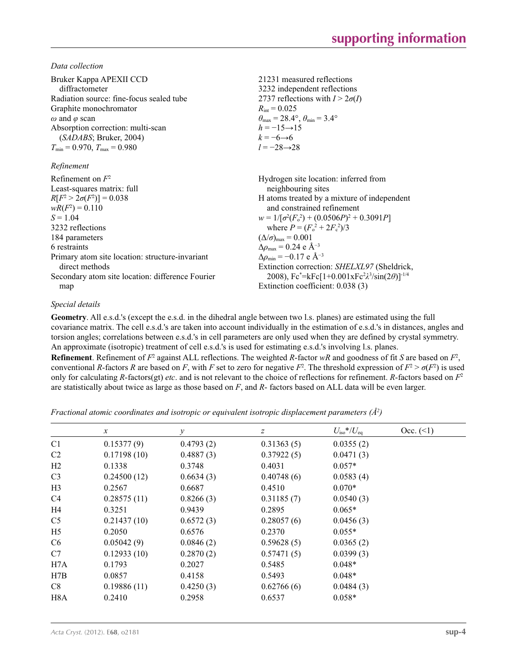*Data collection*

| Bruker Kappa APEXII CCD<br>diffractometer<br>Radiation source: fine-focus sealed tube<br>Graphite monochromator<br>$\omega$ and $\varphi$ scan<br>Absorption correction: multi-scan<br>(SADABS; Bruker, 2004)<br>$T_{\min}$ = 0.970, $T_{\max}$ = 0.980<br>Refinement | 21231 measured reflections<br>3232 independent reflections<br>2737 reflections with $I > 2\sigma(I)$<br>$R_{\text{int}} = 0.025$<br>$\theta_{\text{max}} = 28.4^{\circ}, \theta_{\text{min}} = 3.4^{\circ}$<br>$h = -15 \rightarrow 15$<br>$k = -6 \rightarrow 6$<br>$l = -28 \rightarrow 28$ |
|-----------------------------------------------------------------------------------------------------------------------------------------------------------------------------------------------------------------------------------------------------------------------|-----------------------------------------------------------------------------------------------------------------------------------------------------------------------------------------------------------------------------------------------------------------------------------------------|
| Refinement on $F^2$                                                                                                                                                                                                                                                   | Hydrogen site location: inferred from                                                                                                                                                                                                                                                         |
| Least-squares matrix: full                                                                                                                                                                                                                                            | neighbouring sites                                                                                                                                                                                                                                                                            |
| $R[F^2 > 2\sigma(F^2)] = 0.038$                                                                                                                                                                                                                                       | H atoms treated by a mixture of independent                                                                                                                                                                                                                                                   |
| $wR(F^2) = 0.110$                                                                                                                                                                                                                                                     | and constrained refinement                                                                                                                                                                                                                                                                    |
| $S = 1.04$                                                                                                                                                                                                                                                            | $w = 1/[\sigma^2(F_0^2) + (0.0506P)^2 + 0.3091P]$                                                                                                                                                                                                                                             |
| 3232 reflections                                                                                                                                                                                                                                                      | where $P = (F_0^2 + 2F_c^2)/3$                                                                                                                                                                                                                                                                |
| 184 parameters                                                                                                                                                                                                                                                        | $(\Delta/\sigma)_{\text{max}} = 0.001$                                                                                                                                                                                                                                                        |
| 6 restraints                                                                                                                                                                                                                                                          | $\Delta\rho_{\text{max}} = 0.24$ e Å <sup>-3</sup>                                                                                                                                                                                                                                            |
| Primary atom site location: structure-invariant                                                                                                                                                                                                                       | $\Delta\rho_{\rm min}$ = -0.17 e Å <sup>-3</sup>                                                                                                                                                                                                                                              |
| direct methods                                                                                                                                                                                                                                                        | Extinction correction: SHELXL97 (Sheldrick,                                                                                                                                                                                                                                                   |
| Secondary atom site location: difference Fourier                                                                                                                                                                                                                      | 2008), $Fc^* = kFc[1+0.001xFc^2\lambda^3/sin(2\theta)]^{-1/4}$                                                                                                                                                                                                                                |
| map                                                                                                                                                                                                                                                                   | Extinction coefficient: 0.038 (3)                                                                                                                                                                                                                                                             |

### *Special details*

**Geometry**. All e.s.d.'s (except the e.s.d. in the dihedral angle between two l.s. planes) are estimated using the full covariance matrix. The cell e.s.d.'s are taken into account individually in the estimation of e.s.d.'s in distances, angles and torsion angles; correlations between e.s.d.'s in cell parameters are only used when they are defined by crystal symmetry. An approximate (isotropic) treatment of cell e.s.d.'s is used for estimating e.s.d.'s involving l.s. planes.

**Refinement**. Refinement of  $F^2$  against ALL reflections. The weighted *R*-factor  $wR$  and goodness of fit *S* are based on  $F^2$ , conventional *R*-factors *R* are based on *F*, with *F* set to zero for negative *F*<sup>2</sup>. The threshold expression of  $F^2 > \sigma(F^2)$  is used only for calculating *R*-factors(gt) *etc*. and is not relevant to the choice of reflections for refinement. *R*-factors based on *F*<sup>2</sup> are statistically about twice as large as those based on *F*, and *R*- factors based on ALL data will be even larger.

*Fractional atomic coordinates and isotropic or equivalent isotropic displacement parameters (Å<sup>2</sup>)* 

|                  | $\mathcal{X}$ | $\mathcal{V}$ | $\boldsymbol{Z}$ | $U_{\rm iso}*/U_{\rm eq}$ | Occ. (2) |
|------------------|---------------|---------------|------------------|---------------------------|----------|
| C <sub>1</sub>   | 0.15377(9)    | 0.4793(2)     | 0.31363(5)       | 0.0355(2)                 |          |
| C <sub>2</sub>   | 0.17198(10)   | 0.4887(3)     | 0.37922(5)       | 0.0471(3)                 |          |
| H2               | 0.1338        | 0.3748        | 0.4031           | $0.057*$                  |          |
| C <sub>3</sub>   | 0.24500(12)   | 0.6634(3)     | 0.40748(6)       | 0.0583(4)                 |          |
| H <sub>3</sub>   | 0.2567        | 0.6687        | 0.4510           | $0.070*$                  |          |
| C4               | 0.28575(11)   | 0.8266(3)     | 0.31185(7)       | 0.0540(3)                 |          |
| H4               | 0.3251        | 0.9439        | 0.2895           | $0.065*$                  |          |
| C <sub>5</sub>   | 0.21437(10)   | 0.6572(3)     | 0.28057(6)       | 0.0456(3)                 |          |
| H <sub>5</sub>   | 0.2050        | 0.6576        | 0.2370           | $0.055*$                  |          |
| C <sub>6</sub>   | 0.05042(9)    | 0.0846(2)     | 0.59628(5)       | 0.0365(2)                 |          |
| C7               | 0.12933(10)   | 0.2870(2)     | 0.57471(5)       | 0.0399(3)                 |          |
| H7A              | 0.1793        | 0.2027        | 0.5485           | $0.048*$                  |          |
| H7B              | 0.0857        | 0.4158        | 0.5493           | $0.048*$                  |          |
| C8               | 0.19886(11)   | 0.4250(3)     | 0.62766(6)       | 0.0484(3)                 |          |
| H <sub>8</sub> A | 0.2410        | 0.2958        | 0.6537           | $0.058*$                  |          |
|                  |               |               |                  |                           |          |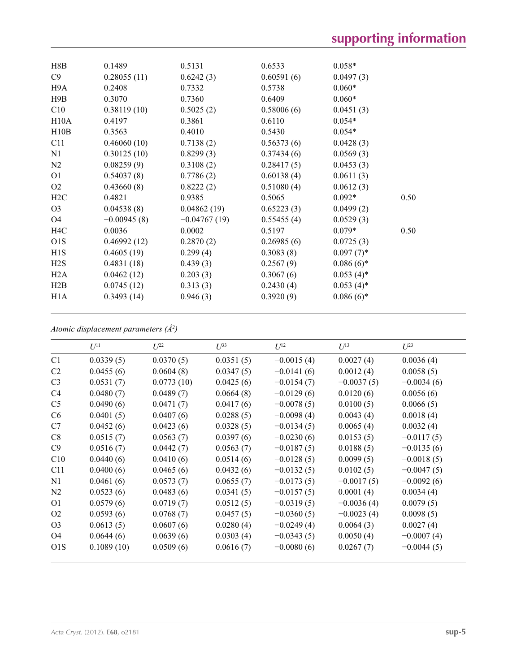| H8B              | 0.1489        | 0.5131         | 0.6533     | $0.058*$     |      |
|------------------|---------------|----------------|------------|--------------|------|
| C9               | 0.28055(11)   | 0.6242(3)      | 0.60591(6) | 0.0497(3)    |      |
| H9A              | 0.2408        | 0.7332         | 0.5738     | $0.060*$     |      |
| H9B              | 0.3070        | 0.7360         | 0.6409     | $0.060*$     |      |
| C10              | 0.38119(10)   | 0.5025(2)      | 0.58006(6) | 0.0451(3)    |      |
| H10A             | 0.4197        | 0.3861         | 0.6110     | $0.054*$     |      |
| H10B             | 0.3563        | 0.4010         | 0.5430     | $0.054*$     |      |
| C11              | 0.46060(10)   | 0.7138(2)      | 0.56373(6) | 0.0428(3)    |      |
| N1               | 0.30125(10)   | 0.8299(3)      | 0.37434(6) | 0.0569(3)    |      |
| N2               | 0.08259(9)    | 0.3108(2)      | 0.28417(5) | 0.0453(3)    |      |
| O <sub>1</sub>   | 0.54037(8)    | 0.7786(2)      | 0.60138(4) | 0.0611(3)    |      |
| O <sub>2</sub>   | 0.43660(8)    | 0.8222(2)      | 0.51080(4) | 0.0612(3)    |      |
| H2C              | 0.4821        | 0.9385         | 0.5065     | $0.092*$     | 0.50 |
| O <sub>3</sub>   | 0.04538(8)    | 0.04862(19)    | 0.65223(3) | 0.0499(2)    |      |
| O <sub>4</sub>   | $-0.00945(8)$ | $-0.04767(19)$ | 0.55455(4) | 0.0529(3)    |      |
| H4C              | 0.0036        | 0.0002         | 0.5197     | $0.079*$     | 0.50 |
| O <sub>1</sub> S | 0.46992(12)   | 0.2870(2)      | 0.26985(6) | 0.0725(3)    |      |
| H1S              | 0.4605(19)    | 0.299(4)       | 0.3083(8)  | $0.097(7)$ * |      |
| H2S              | 0.4831(18)    | 0.439(3)       | 0.2567(9)  | $0.086(6)$ * |      |
| H2A              | 0.0462(12)    | 0.203(3)       | 0.3067(6)  | $0.053(4)$ * |      |
| H2B              | 0.0745(12)    | 0.313(3)       | 0.2430(4)  | $0.053(4)$ * |      |
| H <sub>1</sub> A | 0.3493(14)    | 0.946(3)       | 0.3920(9)  | $0.086(6)$ * |      |
|                  |               |                |            |              |      |

*Atomic displacement parameters (Å2 )*

|                  | $U^{11}$   | $\mathcal{I}^{22}$ | $\mathcal{I}^{\beta 3}$ | $U^{12}$     | $U^{13}$     | $U^{23}$     |  |
|------------------|------------|--------------------|-------------------------|--------------|--------------|--------------|--|
| C1               | 0.0339(5)  | 0.0370(5)          | 0.0351(5)               | $-0.0015(4)$ | 0.0027(4)    | 0.0036(4)    |  |
| C <sub>2</sub>   | 0.0455(6)  | 0.0604(8)          | 0.0347(5)               | $-0.0141(6)$ | 0.0012(4)    | 0.0058(5)    |  |
| C <sub>3</sub>   | 0.0531(7)  | 0.0773(10)         | 0.0425(6)               | $-0.0154(7)$ | $-0.0037(5)$ | $-0.0034(6)$ |  |
| C <sub>4</sub>   | 0.0480(7)  | 0.0489(7)          | 0.0664(8)               | $-0.0129(6)$ | 0.0120(6)    | 0.0056(6)    |  |
| C <sub>5</sub>   | 0.0490(6)  | 0.0471(7)          | 0.0417(6)               | $-0.0078(5)$ | 0.0100(5)    | 0.0066(5)    |  |
| C <sub>6</sub>   | 0.0401(5)  | 0.0407(6)          | 0.0288(5)               | $-0.0098(4)$ | 0.0043(4)    | 0.0018(4)    |  |
| C7               | 0.0452(6)  | 0.0423(6)          | 0.0328(5)               | $-0.0134(5)$ | 0.0065(4)    | 0.0032(4)    |  |
| C8               | 0.0515(7)  | 0.0563(7)          | 0.0397(6)               | $-0.0230(6)$ | 0.0153(5)    | $-0.0117(5)$ |  |
| C9               | 0.0516(7)  | 0.0442(7)          | 0.0563(7)               | $-0.0187(5)$ | 0.0188(5)    | $-0.0135(6)$ |  |
| C10              | 0.0440(6)  | 0.0410(6)          | 0.0514(6)               | $-0.0128(5)$ | 0.0099(5)    | $-0.0018(5)$ |  |
| C11              | 0.0400(6)  | 0.0465(6)          | 0.0432(6)               | $-0.0132(5)$ | 0.0102(5)    | $-0.0047(5)$ |  |
| N1               | 0.0461(6)  | 0.0573(7)          | 0.0655(7)               | $-0.0173(5)$ | $-0.0017(5)$ | $-0.0092(6)$ |  |
| N2               | 0.0523(6)  | 0.0483(6)          | 0.0341(5)               | $-0.0157(5)$ | 0.0001(4)    | 0.0034(4)    |  |
| O <sub>1</sub>   | 0.0579(6)  | 0.0719(7)          | 0.0512(5)               | $-0.0319(5)$ | $-0.0036(4)$ | 0.0079(5)    |  |
| O <sub>2</sub>   | 0.0593(6)  | 0.0768(7)          | 0.0457(5)               | $-0.0360(5)$ | $-0.0023(4)$ | 0.0098(5)    |  |
| O <sub>3</sub>   | 0.0613(5)  | 0.0607(6)          | 0.0280(4)               | $-0.0249(4)$ | 0.0064(3)    | 0.0027(4)    |  |
| O <sub>4</sub>   | 0.0644(6)  | 0.0639(6)          | 0.0303(4)               | $-0.0343(5)$ | 0.0050(4)    | $-0.0007(4)$ |  |
| O <sub>1</sub> S | 0.1089(10) | 0.0509(6)          | 0.0616(7)               | $-0.0080(6)$ | 0.0267(7)    | $-0.0044(5)$ |  |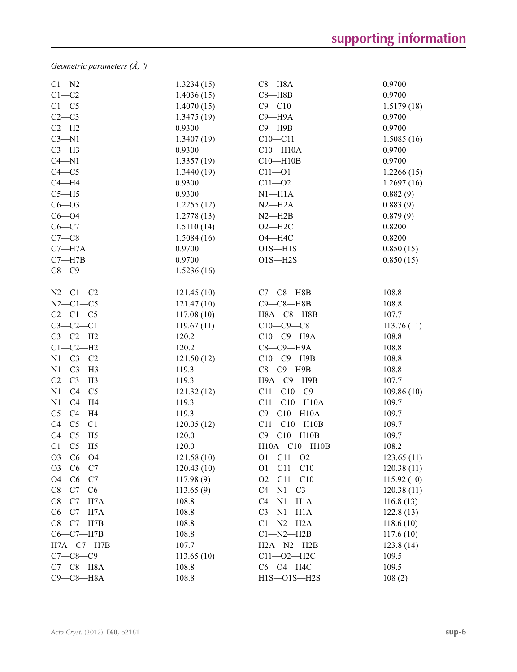*Geometric parameters (Å, º)*

| $C1 - N2$        | 1.3234(15) | $C8 - H8A$         | 0.9700     |  |
|------------------|------------|--------------------|------------|--|
| $C1-C2$          | 1.4036(15) | $C8 - H8B$         | 0.9700     |  |
| $C1 - C5$        | 1.4070(15) | $C9 - C10$         | 1.5179(18) |  |
| $C2-C3$          | 1.3475(19) | $C9 - H9A$         | 0.9700     |  |
| $C2-H2$          | 0.9300     | $C9 - H9B$         | 0.9700     |  |
| $C3 - N1$        | 1.3407(19) | $C10-C11$          | 1.5085(16) |  |
| $C3-H3$          | 0.9300     | $C10 - H10A$       | 0.9700     |  |
| $C4 - N1$        | 1.3357(19) | $C10 - H10B$       | 0.9700     |  |
| $C4 - C5$        | 1.3440(19) | $C11 - O1$         | 1.2266(15) |  |
| $C4 - H4$        | 0.9300     | $C11 - 02$         | 1.2697(16) |  |
| $C5 - H5$        | 0.9300     | $N1 - H1A$         | 0.882(9)   |  |
| $C6 - O3$        | 1.2255(12) | $N2-H2A$           | 0.883(9)   |  |
| $C6 - O4$        | 1.2778(13) | $N2 - H2B$         | 0.879(9)   |  |
| $C6 - C7$        | 1.5110(14) | $O2 - H2C$         | 0.8200     |  |
| $C7-C8$          | 1.5084(16) | $O4 - H4C$         | 0.8200     |  |
| $C7 - H7A$       | 0.9700     | $O1S - H1S$        | 0.850(15)  |  |
| $C7 - H7B$       | 0.9700     | $O1S - H2S$        | 0.850(15)  |  |
| $C8-C9$          | 1.5236(16) |                    |            |  |
|                  |            |                    |            |  |
| $N2-C1-C2$       | 121.45(10) | $C7-C8-HBB$        | 108.8      |  |
| $N2-C1-C5$       | 121.47(10) | $C9-C8-H8B$        | 108.8      |  |
| $C2-C1-C5$       | 117.08(10) | H8A-C8-H8B         | 107.7      |  |
| $C3-C2-C1$       | 119.67(11) | $C10-C9-C8$        | 113.76(11) |  |
| $C3-C2-H2$       | 120.2      | С10-С9-Н9А         | 108.8      |  |
| $C1-C2-H2$       | 120.2      | С8-С9-Н9А          | 108.8      |  |
| $N1-C3-C2$       | 121.50(12) | C10-C9-H9B         | 108.8      |  |
| $N1-C3-H3$       | 119.3      | $C8-C9-$ H9B       | 108.8      |  |
| $C2-C3-H3$       | 119.3      | Н9А-С9-Н9В         | 107.7      |  |
| $N1-C4-C5$       | 121.32(12) | $C11 - C10 - C9$   | 109.86(10) |  |
| $N1-C4-H4$       | 119.3      | $C11 - C10 - H10A$ | 109.7      |  |
| $C5-C4-H4$       | 119.3      | C9-C10-H10A        | 109.7      |  |
| $C4-C5-C1$       | 120.05(12) | $C11 - C10 - H10B$ | 109.7      |  |
| $C4-C5-H5$       | 120.0      | C9-C10-H10B        | 109.7      |  |
| $C1-C5-H5$       | 120.0      | H10A-C10-H10B      | 108.2      |  |
| $O3-C6-O4$       | 121.58(10) | $O1 - C11 - O2$    | 123.65(11) |  |
| $O3-C6-C7$       | 120.43(10) | $O1 - C11 - C10$   | 120.38(11) |  |
| $O4 - C6 - C7$   | 117.98(9)  | $O2 - C11 - C10$   | 115.92(10) |  |
| $C8-C7-C6$       | 113.65(9)  | $C4 - N1 - C3$     | 120.38(11) |  |
| $C8-C7-H7A$      | 108.8      | $C4 - N1 - H1A$    | 116.8(13)  |  |
| $C6-C7-H7A$      | 108.8      | $C3-M1-H1A$        | 122.8(13)  |  |
| $C8-C7-H7B$      | 108.8      | $Cl-M2-H2A$        | 118.6(10)  |  |
| $C6-C7-H7B$      | 108.8      | $Cl-M2-H2B$        | 117.6(10)  |  |
| $H7A - C7 - H7B$ | 107.7      | $H2A - N2 - H2B$   | 123.8(14)  |  |
| $C7 - C8 - C9$   | 113.65(10) | $C11 - 02 - H2C$   | 109.5      |  |
| $C7-C8-H8A$      | 108.8      | $C6 - O4 - H4C$    | 109.5      |  |
| $C9-C8-H8A$      | 108.8      | $H1S - O1S - H2S$  | 108(2)     |  |